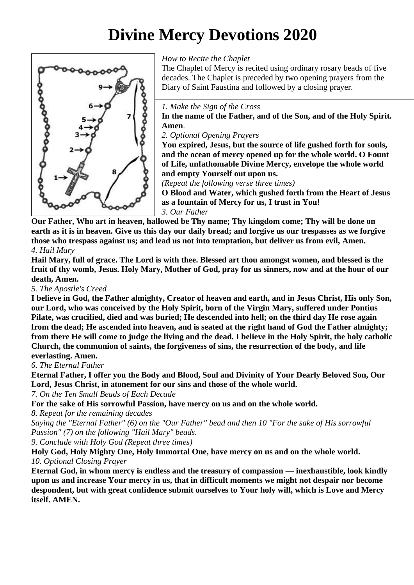# **Divine Mercy Devotions 2020**



#### *How to Recite the Chaplet*

The Chaplet of Mercy is recited using ordinary rosary beads of five decades. The Chaplet is preceded by two opening prayers from the Diary of Saint Faustina and followed by a closing prayer.

#### *1. Make the Sign of the Cross*

**In the name of the Father, and of the Son, and of the Holy Spirit. Amen**.

*2. Optional Opening Prayers*

**You expired, Jesus, but the source of life gushed forth for souls, and the ocean of mercy opened up for the whole world. O Fount of Life, unfathomable Divine Mercy, envelope the whole world and empty Yourself out upon us.** 

*(Repeat the following verse three times)*

**O Blood and Water, which gushed forth from the Heart of Jesus as a fountain of Mercy for us, I trust in You!** *3. Our Father*

**Our Father, Who art in heaven, hallowed be Thy name; Thy kingdom come; Thy will be done on earth as it is in heaven. Give us this day our daily bread; and forgive us our trespasses as we forgive those who trespass against us; and lead us not into temptation, but deliver us from evil, Amen.** *4. Hail Mary*

**Hail Mary, full of grace. The Lord is with thee. Blessed art thou amongst women, and blessed is the fruit of thy womb, Jesus. Holy Mary, Mother of God, pray for us sinners, now and at the hour of our death, Amen.**

*5. The Apostle's Creed*

**I believe in God, the Father almighty, Creator of heaven and earth, and in Jesus Christ, His only Son, our Lord, who was conceived by the Holy Spirit, born of the Virgin Mary, suffered under Pontius Pilate, was crucified, died and was buried; He descended into hell; on the third day He rose again from the dead; He ascended into heaven, and is seated at the right hand of God the Father almighty; from there He will come to judge the living and the dead. I believe in the Holy Spirit, the holy catholic Church, the communion of saints, the forgiveness of sins, the resurrection of the body, and life everlasting. Amen.**

*6. The Eternal Father*

**Eternal Father, I offer you the Body and Blood, Soul and Divinity of Your Dearly Beloved Son, Our Lord, Jesus Christ, in atonement for our sins and those of the whole world.**

*7. On the Ten Small Beads of Each Decade*

**For the sake of His sorrowful Passion, have mercy on us and on the whole world.**

*8. Repeat for the remaining decades*

*Saying the "Eternal Father" (6) on the "Our Father" bead and then 10 "For the sake of His sorrowful Passion" (7) on the following "Hail Mary" beads.*

*9. Conclude with Holy God (Repeat three times)*

**Holy God, Holy Mighty One, Holy Immortal One, have mercy on us and on the whole world.** *10. Optional Closing Prayer*

**Eternal God, in whom mercy is endless and the treasury of compassion — inexhaustible, look kindly upon us and increase Your mercy in us, that in difficult moments we might not despair nor become despondent, but with great confidence submit ourselves to Your holy will, which is Love and Mercy itself. AMEN.**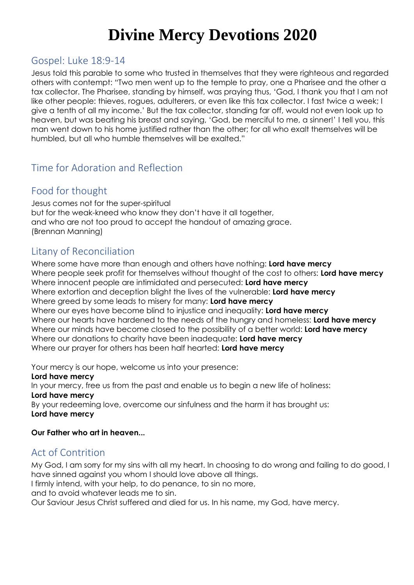# **Divine Mercy Devotions 2020**

# Gospel: Luke 18:9-14

Jesus told this parable to some who trusted in themselves that they were righteous and regarded others with contempt: "Two men went up to the temple to pray, one a Pharisee and the other a tax collector. The Pharisee, standing by himself, was praying thus, 'God, I thank you that I am not like other people: thieves, rogues, adulterers, or even like this tax collector. I fast twice a week; I give a tenth of all my income.' But the tax collector, standing far off, would not even look up to heaven, but was beating his breast and saying, 'God, be merciful to me, a sinner!' I tell you, this man went down to his home justified rather than the other; for all who exalt themselves will be humbled, but all who humble themselves will be exalted."

# Time for Adoration and Reflection

# Food for thought

Jesus comes not for the super-spiritual but for the weak-kneed who know they don't have it all together, and who are not too proud to accept the handout of amazing grace. (Brennan Manning)

## Litany of Reconciliation

Where some have more than enough and others have nothing: **Lord have mercy** Where people seek profit for themselves without thought of the cost to others: **Lord have mercy** Where innocent people are intimidated and persecuted: **Lord have mercy** Where extortion and deception blight the lives of the vulnerable: **Lord have mercy** Where greed by some leads to misery for many: **Lord have mercy** Where our eyes have become blind to injustice and inequality: **Lord have mercy** Where our hearts have hardened to the needs of the hungry and homeless: **Lord have mercy** Where our minds have become closed to the possibility of a better world: **Lord have mercy** Where our donations to charity have been inadequate: **Lord have mercy** Where our prayer for others has been half hearted: **Lord have mercy**

Your mercy is our hope, welcome us into your presence:

#### **Lord have mercy**

In your mercy, free us from the past and enable us to begin a new life of holiness: **Lord have mercy**

By your redeeming love, overcome our sinfulness and the harm it has brought us: **Lord have mercy**

#### **Our Father who art in heaven...**

## Act of Contrition

My God, I am sorry for my sins with all my heart. In choosing to do wrong and failing to do good, I have sinned against you whom I should love above all things.

I firmly intend, with your help, to do penance, to sin no more,

and to avoid whatever leads me to sin.

Our Saviour Jesus Christ suffered and died for us. In his name, my God, have mercy.